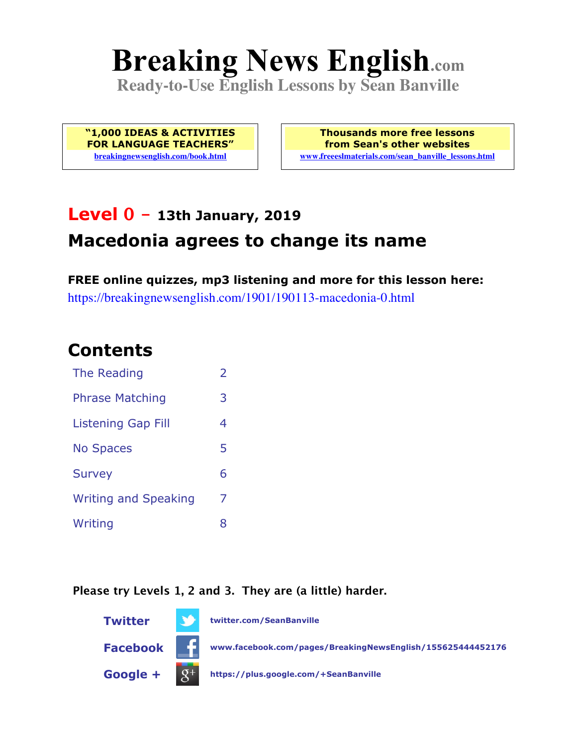# **Breaking News English.com**

**Ready-to-Use English Lessons by Sean Banville**

**"1,000 IDEAS & ACTIVITIES FOR LANGUAGE TEACHERS" breakingnewsenglish.com/book.html**

**Thousands more free lessons from Sean's other websites www.freeeslmaterials.com/sean\_banville\_lessons.html**

# **Level 0 - 13th January, 2019 Macedonia agrees to change its name**

**FREE online quizzes, mp3 listening and more for this lesson here:** https://breakingnewsenglish.com/1901/190113-macedonia-0.html

#### **Contents**

| The Reading                 | $\overline{2}$ |
|-----------------------------|----------------|
| <b>Phrase Matching</b>      | 3              |
| <b>Listening Gap Fill</b>   | 4              |
| <b>No Spaces</b>            | 5              |
| <b>Survey</b>               | 6              |
| <b>Writing and Speaking</b> | 7              |
| Writing                     | 8              |

**Please try Levels 1, 2 and 3. They are (a little) harder.**

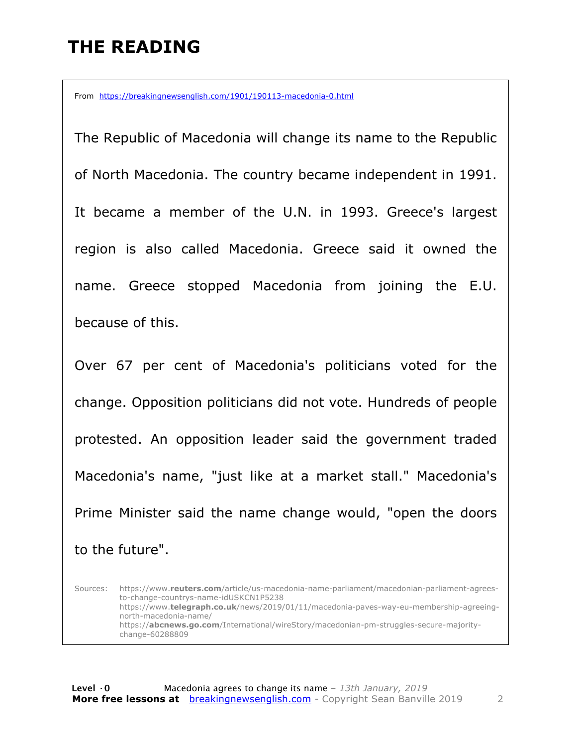## **THE READING**

From https://breakingnewsenglish.com/1901/190113-macedonia-0.html

The Republic of Macedonia will change its name to the Republic of North Macedonia. The country became independent in 1991. It became a member of the U.N. in 1993. Greece's largest region is also called Macedonia. Greece said it owned the name. Greece stopped Macedonia from joining the E.U. because of this.

Over 67 per cent of Macedonia's politicians voted for the change. Opposition politicians did not vote. Hundreds of people protested. An opposition leader said the government traded Macedonia's name, "just like at a market stall." Macedonia's Prime Minister said the name change would, "open the doors to the future".

Sources: https://www.**reuters.com**/article/us-macedonia-name-parliament/macedonian-parliament-agreesto-change-countrys-name-idUSKCN1P5238 https://www.**telegraph.co.uk**/news/2019/01/11/macedonia-paves-way-eu-membership-agreeingnorth-macedonia-name/ https://**abcnews.go.com**/International/wireStory/macedonian-pm-struggles-secure-majoritychange-60288809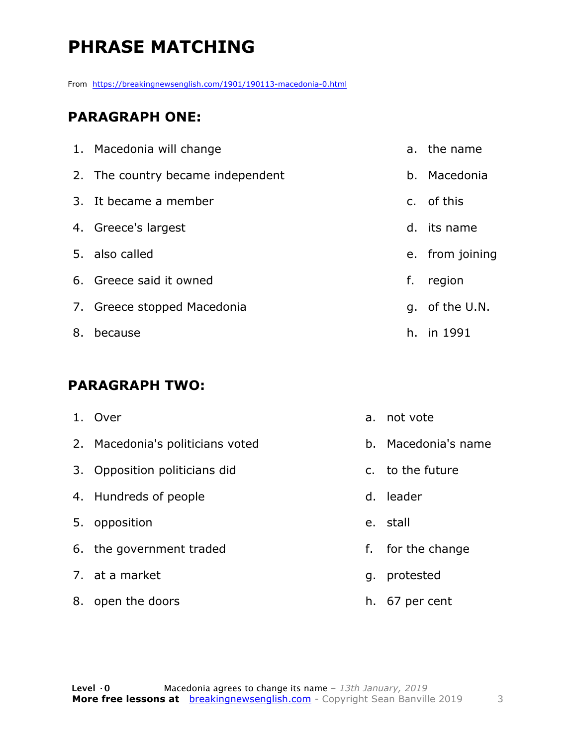# **PHRASE MATCHING**

From https://breakingnewsenglish.com/1901/190113-macedonia-0.html

#### **PARAGRAPH ONE:**

|    | 1. Macedonia will change          |    | a. the name     |
|----|-----------------------------------|----|-----------------|
|    | 2. The country became independent |    | b. Macedonia    |
|    | 3. It became a member             |    | c. of this      |
|    | 4. Greece's largest               |    | d. its name     |
|    | 5. also called                    |    | e. from joining |
|    | 6. Greece said it owned           | f. | region          |
|    | 7. Greece stopped Macedonia       |    | g. of the U.N.  |
| 8. | because                           |    | h. in 1991      |

#### **PARAGRAPH TWO:**

|    | 1. Over                          | a.          | not vote          |
|----|----------------------------------|-------------|-------------------|
|    | 2. Macedonia's politicians voted | h.          | Macedonia's name  |
|    | 3. Opposition politicians did    |             | c. to the future  |
|    | 4. Hundreds of people            | $d_{\perp}$ | leader            |
|    | 5. opposition                    |             | e. stall          |
|    | 6. the government traded         |             | f. for the change |
|    | 7. at a market                   | q.          | protested         |
| 8. | open the doors                   | h.          | 67 per cent       |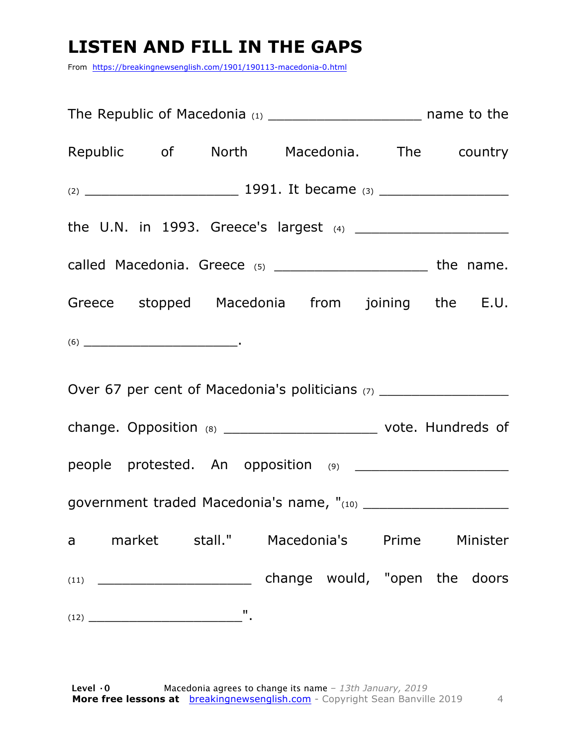## **LISTEN AND FILL IN THE GAPS**

From https://breakingnewsenglish.com/1901/190113-macedonia-0.html

| Republic of North Macedonia. The country                                                                                                                                                                                                                                                                                                                                                                   |  |  |  |  |  |
|------------------------------------------------------------------------------------------------------------------------------------------------------------------------------------------------------------------------------------------------------------------------------------------------------------------------------------------------------------------------------------------------------------|--|--|--|--|--|
|                                                                                                                                                                                                                                                                                                                                                                                                            |  |  |  |  |  |
|                                                                                                                                                                                                                                                                                                                                                                                                            |  |  |  |  |  |
| called Macedonia. Greece (5) __________________________ the name.                                                                                                                                                                                                                                                                                                                                          |  |  |  |  |  |
| Greece stopped Macedonia from joining the E.U.                                                                                                                                                                                                                                                                                                                                                             |  |  |  |  |  |
| $(6) \begin{tabular}{l} \hline \rule[1em]{1em}{1em} \rule[1em]{1em}{1em} \rule[1em]{1em}{1em} \rule[1em]{1em}{1em} \rule[1em]{1em}{1em} \rule[1em]{1em}{1em} \rule[1em]{1em}{1em} \rule[1em]{1em}{1em} \rule[1em]{1em}{1em} \rule[1em]{1em}{1em} \rule[1em]{1em}{1em} \rule[1em]{1em}{1em} \rule[1em]{1em}{1em} \rule[1em]{1em}{1em} \rule[1em]{1em}{1em} \rule[1em]{1em}{1em} \rule[1em]{1em}{1em} \rule$ |  |  |  |  |  |
| Over 67 per cent of Macedonia's politicians (7) ___________________                                                                                                                                                                                                                                                                                                                                        |  |  |  |  |  |
| change. Opposition (8) _________________________________ vote. Hundreds of                                                                                                                                                                                                                                                                                                                                 |  |  |  |  |  |
| people protested. An opposition (9) ________________________                                                                                                                                                                                                                                                                                                                                               |  |  |  |  |  |
|                                                                                                                                                                                                                                                                                                                                                                                                            |  |  |  |  |  |
| a market stall." Macedonia's Prime Minister                                                                                                                                                                                                                                                                                                                                                                |  |  |  |  |  |
|                                                                                                                                                                                                                                                                                                                                                                                                            |  |  |  |  |  |
|                                                                                                                                                                                                                                                                                                                                                                                                            |  |  |  |  |  |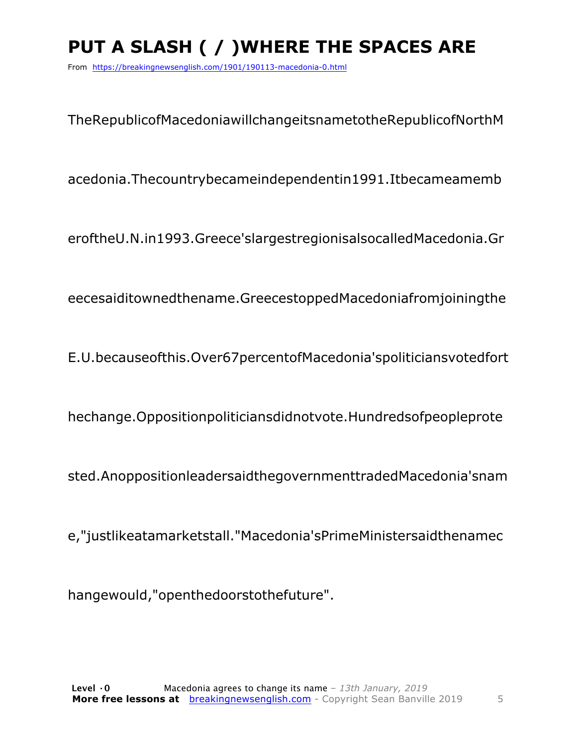# **PUT A SLASH ( / )WHERE THE SPACES ARE**

From https://breakingnewsenglish.com/1901/190113-macedonia-0.html

TheRepublicofMacedoniawillchangeitsnametotheRepublicofNorthM

acedonia.Thecountrybecameindependentin1991.Itbecameamemb

eroftheU.N.in1993.Greece'slargestregionisalsocalledMacedonia.Gr

eecesaiditownedthename.GreecestoppedMacedoniafromjoiningthe

E.U.becauseofthis.Over67percentofMacedonia'spoliticiansvotedfort

hechange.Oppositionpoliticiansdidnotvote.Hundredsofpeopleprote

sted.AnoppositionleadersaidthegovernmenttradedMacedonia'snam

e,"justlikeatamarketstall."Macedonia'sPrimeMinistersaidthenamec

hangewould,"openthedoorstothefuture".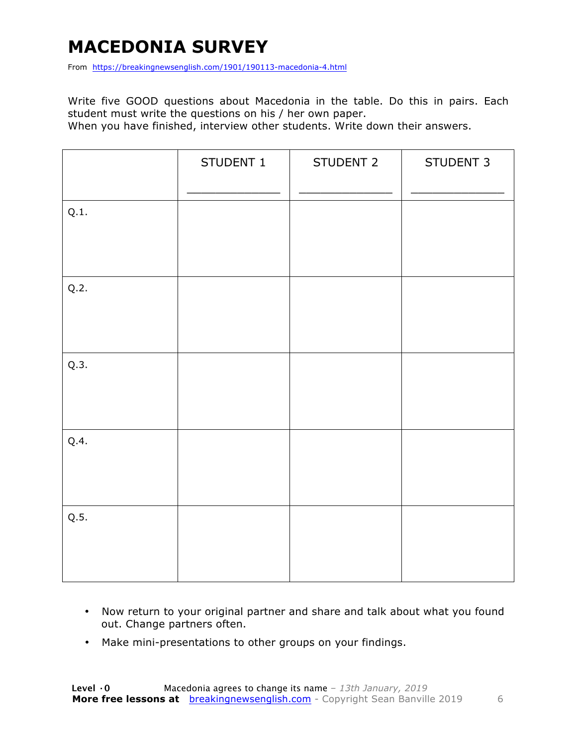#### **MACEDONIA SURVEY**

From https://breakingnewsenglish.com/1901/190113-macedonia-4.html

Write five GOOD questions about Macedonia in the table. Do this in pairs. Each student must write the questions on his / her own paper.

When you have finished, interview other students. Write down their answers.

|      | STUDENT 1 | STUDENT 2 | STUDENT 3 |
|------|-----------|-----------|-----------|
| Q.1. |           |           |           |
| Q.2. |           |           |           |
| Q.3. |           |           |           |
| Q.4. |           |           |           |
| Q.5. |           |           |           |

- Now return to your original partner and share and talk about what you found out. Change partners often.
- Make mini-presentations to other groups on your findings.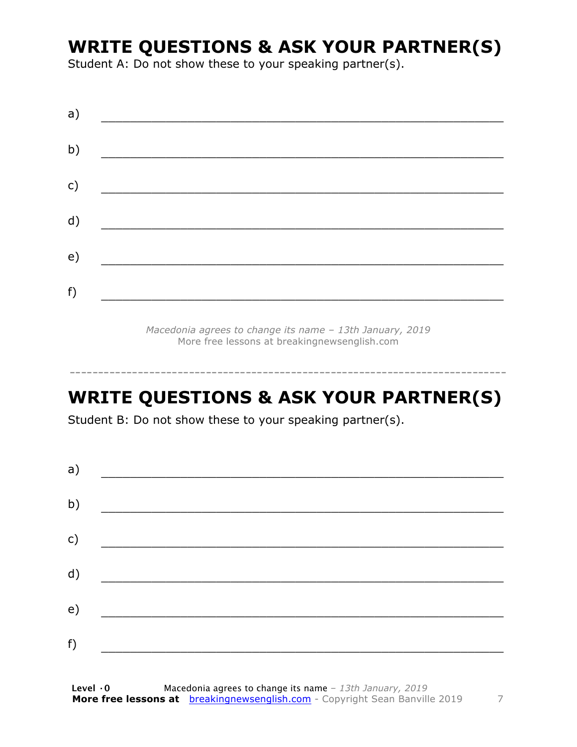#### **WRITE QUESTIONS & ASK YOUR PARTNER(S)**

Student A: Do not show these to your speaking partner(s).

*Macedonia agrees to change its name – 13th January, 2019* More free lessons at breakingnewsenglish.com

### **WRITE QUESTIONS & ASK YOUR PARTNER(S)**

-----------------------------------------------------------------------------

Student B: Do not show these to your speaking partner(s).

| a) |  |  |
|----|--|--|
| b) |  |  |
| c) |  |  |
| d) |  |  |
| e) |  |  |
| f) |  |  |
|    |  |  |